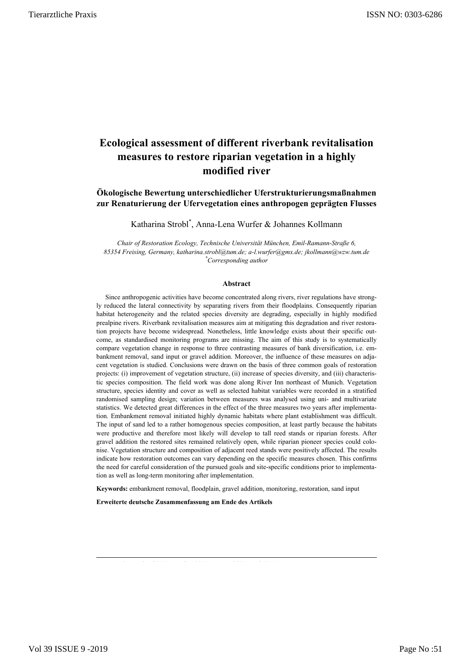# **Ecological assessment of different riverbank revitalisation measures to restore riparian vegetation in a highly modified river**

**Ökologische Bewertung unterschiedlicher Uferstrukturierungsmaßnahmen zur Renaturierung der Ufervegetation eines anthropogen geprägten Flusses**

Katharina Strobl\* , Anna-Lena Wurfer & Johannes Kollmann

*Chair of Restoration Ecology, Technische Universität München, Emil-Ramann-Straße 6, 85354 Freising, Germany[, katharina.strobl@tum.de;](mailto:katharina.strobl@tum.de) a-l.wurfer@gmx.de[; jkollmann@wzw.tum.de](mailto:jkollmann@wzw.tum.de) \* Corresponding author*

#### **Abstract**

Since anthropogenic activities have become concentrated along rivers, river regulations have strongly reduced the lateral connectivity by separating rivers from their floodplains. Consequently riparian habitat heterogeneity and the related species diversity are degrading, especially in highly modified prealpine rivers. Riverbank revitalisation measures aim at mitigating this degradation and river restoration projects have become widespread. Nonetheless, little knowledge exists about their specific outcome, as standardised monitoring programs are missing. The aim of this study is to systematically compare vegetation change in response to three contrasting measures of bank diversification, i.e. embankment removal, sand input or gravel addition. Moreover, the influence of these measures on adjacent vegetation is studied. Conclusions were drawn on the basis of three common goals of restoration projects: (i) improvement of vegetation structure, (ii) increase of species diversity, and (iii) characteristic species composition. The field work was done along River Inn northeast of Munich. Vegetation structure, species identity and cover as well as selected habitat variables were recorded in a stratified randomised sampling design; variation between measures was analysed using uni- and multivariate statistics. We detected great differences in the effect of the three measures two years after implementation. Embankment removal initiated highly dynamic habitats where plant establishment was difficult. The input of sand led to a rather homogenous species composition, at least partly because the habitats were productive and therefore most likely will develop to tall reed stands or riparian forests. After gravel addition the restored sites remained relatively open, while riparian pioneer species could colonise. Vegetation structure and composition of adjacent reed stands were positively affected. The results indicate how restoration outcomes can vary depending on the specific measures chosen. This confirms the need for careful consideration of the pursued goals and site-specific conditions prior to implementation as well as long-term monitoring after implementation.

**Keywords:** embankment removal, floodplain, gravel addition, monitoring, restoration, sand input

**Erweiterte deutsche Zusammenfassung am Ende des Artikels**

Manuscript received 26 November 2014, accepted 03 March 2015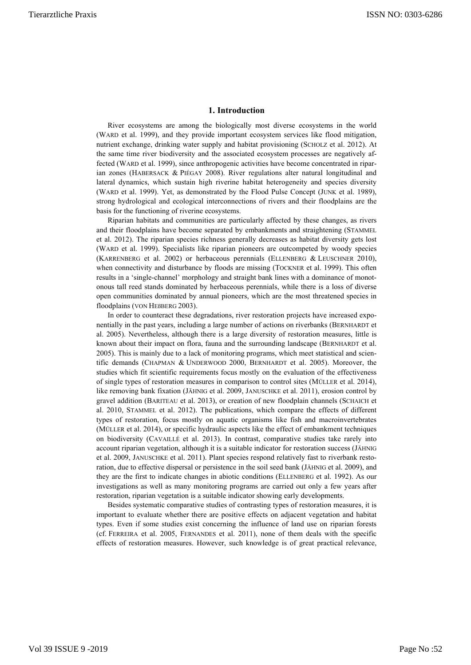# **1. Introduction**

River ecosystems are among the biologically most diverse ecosystems in the world (WARD et al. 1999), and they provide important ecosystem services like flood mitigation, nutrient exchange, drinking water supply and habitat provisioning (SCHOLZ et al. 2012). At the same time river biodiversity and the associated ecosystem processes are negatively affected (WARD et al. 1999), since anthropogenic activities have become concentrated in riparian zones (HABERSACK & PIÉGAY 2008). River regulations alter natural longitudinal and lateral dynamics, which sustain high riverine habitat heterogeneity and species diversity (WARD et al. 1999). Yet, as demonstrated by the Flood Pulse Concept (JUNK et al. 1989), strong hydrological and ecological interconnections of rivers and their floodplains are the basis for the functioning of riverine ecosystems.

Riparian habitats and communities are particularly affected by these changes, as rivers and their floodplains have become separated by embankments and straightening (STAMMEL et al. 2012). The riparian species richness generally decreases as habitat diversity gets lost (WARD et al. 1999). Specialists like riparian pioneers are outcompeted by woody species (KARRENBERG et al. 2002) or herbaceous perennials (ELLENBERG & LEUSCHNER 2010), when connectivity and disturbance by floods are missing (TOCKNER et al. 1999). This often results in a 'single-channel' morphology and straight bank lines with a dominance of monotonous tall reed stands dominated by herbaceous perennials, while there is a loss of diverse open communities dominated by annual pioneers, which are the most threatened species in floodplains (VON HEßBERG 2003).

In order to counteract these degradations, river restoration projects have increased exponentially in the past years, including a large number of actions on riverbanks (BERNHARDT et al. 2005). Nevertheless, although there is a large diversity of restoration measures, little is known about their impact on flora, fauna and the surrounding landscape (BERNHARDT et al. 2005). This is mainly due to a lack of monitoring programs, which meet statistical and scientific demands (CHAPMAN & UNDERWOOD 2000, BERNHARDT et al. 2005). Moreover, the studies which fit scientific requirements focus mostly on the evaluation of the effectiveness of single types of restoration measures in comparison to control sites (MÜLLER et al. 2014), like removing bank fixation (JÄHNIG et al. 2009, JANUSCHKE et al. 2011), erosion control by gravel addition (BARITEAU et al. 2013), or creation of new floodplain channels (SCHAICH et al. 2010, STAMMEL et al. 2012). The publications, which compare the effects of different types of restoration, focus mostly on aquatic organisms like fish and macroinvertebrates (MÜLLER et al. 2014), or specific hydraulic aspects like the effect of embankment techniques on biodiversity (CAVAILLÉ et al. 2013). In contrast, comparative studies take rarely into account riparian vegetation, although it is a suitable indicator for restoration success (JÄHNIG et al. 2009, JANUSCHKE et al. 2011). Plant species respond relatively fast to riverbank restoration, due to effective dispersal or persistence in the soil seed bank (JÄHNIG et al. 2009), and they are the first to indicate changes in abiotic conditions (ELLENBERG et al. 1992). As our investigations as well as many monitoring programs are carried out only a few years after restoration, riparian vegetation is a suitable indicator showing early developments.

Besides systematic comparative studies of contrasting types of restoration measures, it is important to evaluate whether there are positive effects on adjacent vegetation and habitat types. Even if some studies exist concerning the influence of land use on riparian forests (cf. FERREIRA et al. 2005, FERNANDES et al. 2011), none of them deals with the specific effects of restoration measures. However, such knowledge is of great practical relevance,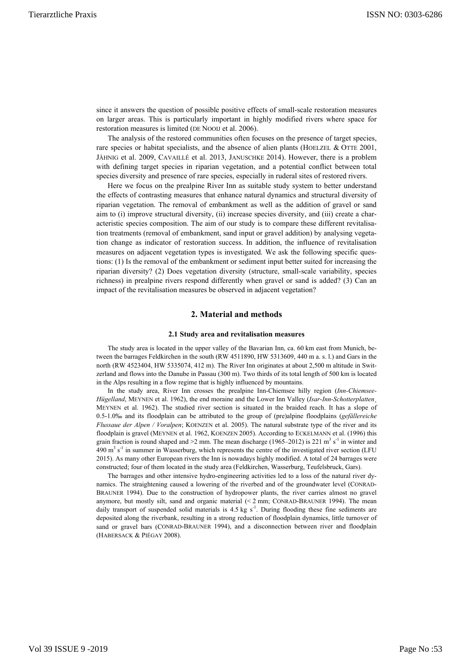since it answers the question of possible positive effects of small-scale restoration measures on larger areas. This is particularly important in highly modified rivers where space for restoration measures is limited (DE NOOIJ et al. 2006).

The analysis of the restored communities often focuses on the presence of target species, rare species or habitat specialists, and the absence of alien plants (HOELZEL & OTTE 2001, JÄHNIG et al. 2009, CAVAILLÉ et al. 2013, JANUSCHKE 2014). However, there is a problem with defining target species in riparian vegetation, and a potential conflict between total species diversity and presence of rare species, especially in ruderal sites of restored rivers.

Here we focus on the prealpine River Inn as suitable study system to better understand the effects of contrasting measures that enhance natural dynamics and structural diversity of riparian vegetation. The removal of embankment as well as the addition of gravel or sand aim to (i) improve structural diversity, (ii) increase species diversity, and (iii) create a characteristic species composition. The aim of our study is to compare these different revitalisation treatments (removal of embankment, sand input or gravel addition) by analysing vegetation change as indicator of restoration success. In addition, the influence of revitalisation measures on adjacent vegetation types is investigated. We ask the following specific questions: (1) Is the removal of the embankment or sediment input better suited for increasing the riparian diversity? (2) Does vegetation diversity (structure, small-scale variability, species richness) in prealpine rivers respond differently when gravel or sand is added? (3) Can an impact of the revitalisation measures be observed in adjacent vegetation?

# **2. Material and methods**

#### **2.1 Study area and revitalisation measures**

The study area is located in the upper valley of the Bavarian Inn, ca. 60 km east from Munich, between the barrages Feldkirchen in the south (RW 4511890, HW 5313609, 440 m a. s. l.) and Gars in the north (RW 4523404, HW 5335074, 412 m). The River Inn originates at about 2,500 m altitude in Switzerland and flows into the Danube in Passau (300 m). Two thirds of its total length of 500 km is located in the Alps resulting in a flow regime that is highly influenced by mountains.

In the study area, River Inn crosses the prealpine Inn-Chiemsee hilly region (*Inn-Chiemsee-Hügelland*, MEYNEN et al. 1962), the end moraine and the Lower Inn Valley (*Isar-Inn-Schotterplatten*¸ MEYNEN et al. 1962). The studied river section is situated in the braided reach. It has a slope of 0.5-1.0‰ and its floodplain can be attributed to the group of (pre)alpine floodplains (*gefällereiche Flussaue der Alpen / Voralpen*; KOENZEN et al. 2005). The natural substrate type of the river and its floodplain is gravel (MEYNEN et al. 1962, KOENZEN 2005). According to ECKELMANN et al. (1996) this grain fraction is round shaped and  $>2$  mm. The mean discharge (1965–2012) is 221 m<sup>3</sup> s<sup>-1</sup> in winter and 490  $m<sup>3</sup>$  s<sup>-1</sup> in summer in Wasserburg, which represents the centre of the investigated river section (LFU) 2015). As many other European rivers the Inn is nowadays highly modified. A total of 24 barrages were constructed; four of them located in the study area (Feldkirchen, Wasserburg, Teufelsbruck, Gars).

The barrages and other intensive hydro-engineering activities led to a loss of the natural river dynamics. The straightening caused a lowering of the riverbed and of the groundwater level (CONRAD-BRAUNER 1994). Due to the construction of hydropower plants, the river carries almost no gravel anymore, but mostly silt, sand and organic material  $\leq 2$  mm; CONRAD-BRAUNER 1994). The mean daily transport of suspended solid materials is  $4.5 \text{ kg s}^{-1}$ . During flooding these fine sediments are deposited along the riverbank, resulting in a strong reduction of floodplain dynamics, little turnover of sand or gravel bars (CONRAD-BRAUNER 1994), and a disconnection between river and floodplain (HABERSACK & PIÉGAY 2008).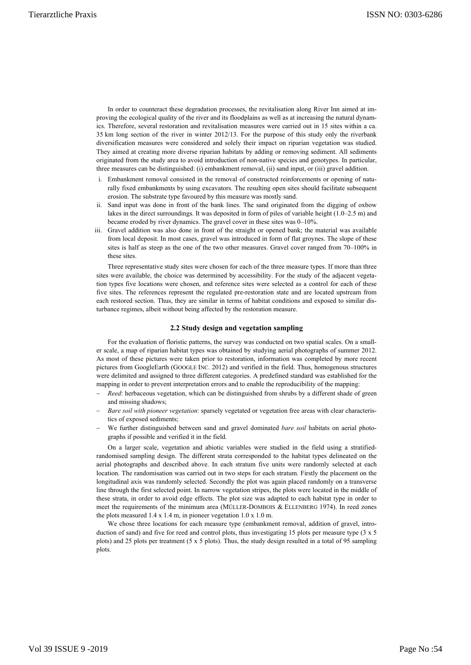In order to counteract these degradation processes, the revitalisation along River Inn aimed at improving the ecological quality of the river and its floodplains as well as at increasing the natural dynamics. Therefore, several restoration and revitalisation measures were carried out in 15 sites within a ca. 35 km long section of the river in winter 2012/13. For the purpose of this study only the riverbank diversification measures were considered and solely their impact on riparian vegetation was studied. They aimed at creating more diverse riparian habitats by adding or removing sediment. All sediments originated from the study area to avoid introduction of non-native species and genotypes. In particular, three measures can be distinguished: (i) embankment removal, (ii) sand input, or (iii) gravel addition.

- i. Embankment removal consisted in the removal of constructed reinforcements or opening of naturally fixed embankments by using excavators. The resulting open sites should facilitate subsequent erosion. The substrate type favoured by this measure was mostly sand.
- ii. Sand input was done in front of the bank lines. The sand originated from the digging of oxbow lakes in the direct surroundings. It was deposited in form of piles of variable height (1.0–2.5 m) and became eroded by river dynamics. The gravel cover in these sites was 0–10%.
- iii. Gravel addition was also done in front of the straight or opened bank; the material was available from local deposit. In most cases, gravel was introduced in form of flat groynes. The slope of these sites is half as steep as the one of the two other measures. Gravel cover ranged from 70–100% in these sites.

Three representative study sites were chosen for each of the three measure types. If more than three sites were available, the choice was determined by accessibility. For the study of the adjacent vegetation types five locations were chosen, and reference sites were selected as a control for each of these five sites. The references represent the regulated pre-restoration state and are located upstream from each restored section. Thus, they are similar in terms of habitat conditions and exposed to similar disturbance regimes, albeit without being affected by the restoration measure.

### **2.2 Study design and vegetation sampling**

For the evaluation of floristic patterns, the survey was conducted on two spatial scales. On a smaller scale, a map of riparian habitat types was obtained by studying aerial photographs of summer 2012. As most of these pictures were taken prior to restoration, information was completed by more recent pictures from GoogleEarth (GOOGLE INC. 2012) and verified in the field. Thus, homogenous structures were delimited and assigned to three different categories. A predefined standard was established for the mapping in order to prevent interpretation errors and to enable the reproducibility of the mapping:

- − *Reed*: herbaceous vegetation, which can be distinguished from shrubs by a different shade of green and missing shadows;
- − *Bare soil with pioneer vegetation*: sparsely vegetated or vegetation free areas with clear characteristics of exposed sediments;
- − We further distinguished between sand and gravel dominated *bare soil* habitats on aerial photographs if possible and verified it in the field.

On a larger scale, vegetation and abiotic variables were studied in the field using a stratifiedrandomised sampling design. The different strata corresponded to the habitat types delineated on the aerial photographs and described above. In each stratum five units were randomly selected at each location. The randomisation was carried out in two steps for each stratum. Firstly the placement on the longitudinal axis was randomly selected. Secondly the plot was again placed randomly on a transverse line through the first selected point. In narrow vegetation stripes, the plots were located in the middle of these strata, in order to avoid edge effects. The plot size was adapted to each habitat type in order to meet the requirements of the minimum area (MÜLLER-DOMBOIS & ELLENBERG 1974). In reed zones the plots measured 1.4 x 1.4 m, in pioneer vegetation 1.0 x 1.0 m.

We chose three locations for each measure type (embankment removal, addition of gravel, introduction of sand) and five for reed and control plots, thus investigating 15 plots per measure type (3 x 5 plots) and 25 plots per treatment (5 x 5 plots). Thus, the study design resulted in a total of 95 sampling plots.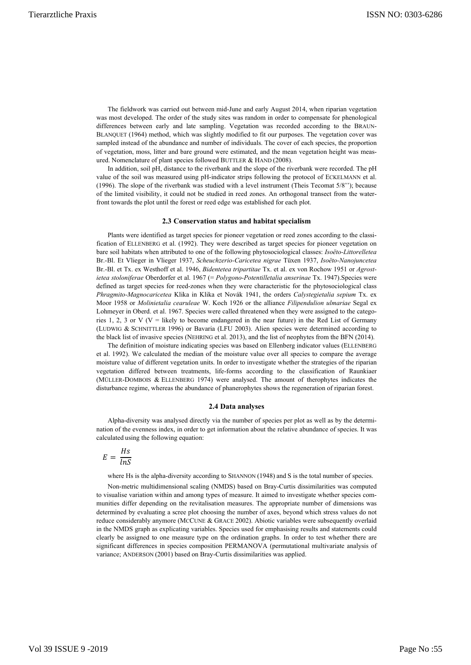The fieldwork was carried out between mid-June and early August 2014, when riparian vegetation was most developed. The order of the study sites was random in order to compensate for phenological differences between early and late sampling. Vegetation was recorded according to the BRAUN-BLANQUET (1964) method, which was slightly modified to fit our purposes. The vegetation cover was sampled instead of the abundance and number of individuals. The cover of each species, the proportion of vegetation, moss, litter and bare ground were estimated, and the mean vegetation height was measured. Nomenclature of plant species followed BUTTLER & HAND (2008).

In addition, soil pH, distance to the riverbank and the slope of the riverbank were recorded. The pH value of the soil was measured using pH-indicator strips following the protocol of ECKELMANN et al. (1996). The slope of the riverbank was studied with a level instrument (Theis Tecomat 5/8''); because of the limited visibility, it could not be studied in reed zones. An orthogonal transect from the waterfront towards the plot until the forest or reed edge was established for each plot.

### **2.3 Conservation status and habitat specialism**

Plants were identified as target species for pioneer vegetation or reed zones according to the classification of ELLENBERG et al. (1992). They were described as target species for pioneer vegetation on bare soil habitats when attributed to one of the following phytosociological classes: *Isoëto-Littorelletea*  Br.-Bl. Et Vlieger in Vlieger 1937, *Scheuchzerio-Caricetea nigrae* Tüxen 1937, *Isoëto-Nanojuncetea*  Br.-Bl. et Tx. ex Westhoff et al. 1946, *Bidentetea tripartitae* Tx. et al. ex von Rochow 1951 or *Agrostietea stoloniferae* Oberdorfer et al. 1967 (= *Polygono-Potentilletalia anserinae* Tx. 1947).Species were defined as target species for reed-zones when they were characteristic for the phytosociological class *Phragmito-Magnocaricetea* Klika in Klika et Novák 1941, the orders *Calystegietalia sepium* Tx. ex Moor 1958 or *Molinietalia cearuleae* W. Koch 1926 or the alliance *Filipendulion ulmariae* Segal ex Lohmeyer in Oberd. et al. 1967. Species were called threatened when they were assigned to the categories 1, 2, 3 or V ( $V =$  likely to become endangered in the near future) in the Red List of Germany (LUDWIG & SCHNITTLER 1996) or Bavaria (LFU 2003). Alien species were determined according to the black list of invasive species (NEHRING et al. 2013), and the list of neophytes from the BFN (2014).

The definition of moisture indicating species was based on Ellenberg indicator values (ELLENBERG et al. 1992). We calculated the median of the moisture value over all species to compare the average moisture value of different vegetation units. In order to investigate whether the strategies of the riparian vegetation differed between treatments, life-forms according to the classification of Raunkiaer (MÜLLER-DOMBOIS & ELLENBERG 1974) were analysed. The amount of therophytes indicates the disturbance regime, whereas the abundance of phanerophytes shows the regeneration of riparian forest.

#### **2.4 Data analyses**

Alpha-diversity was analysed directly via the number of species per plot as well as by the determination of the evenness index, in order to get information about the relative abundance of species. It was calculated using the following equation:

$$
E = \frac{Hs}{\ln S}
$$

where Hs is the alpha-diversity according to SHANNON (1948) and S is the total number of species.

Non-metric multidimensional scaling (NMDS) based on Bray-Curtis dissimilarities was computed to visualise variation within and among types of measure. It aimed to investigate whether species communities differ depending on the revitalisation measures. The appropriate number of dimensions was determined by evaluating a scree plot choosing the number of axes, beyond which stress values do not reduce considerably anymore (MCCUNE & GRACE 2002). Abiotic variables were subsequently overlaid in the NMDS graph as explicating variables. Species used for emphasising results and statements could clearly be assigned to one measure type on the ordination graphs. In order to test whether there are significant differences in species composition PERMANOVA (permutational multivariate analysis of variance; ANDERSON (2001) based on Bray-Curtis dissimilarities was applied.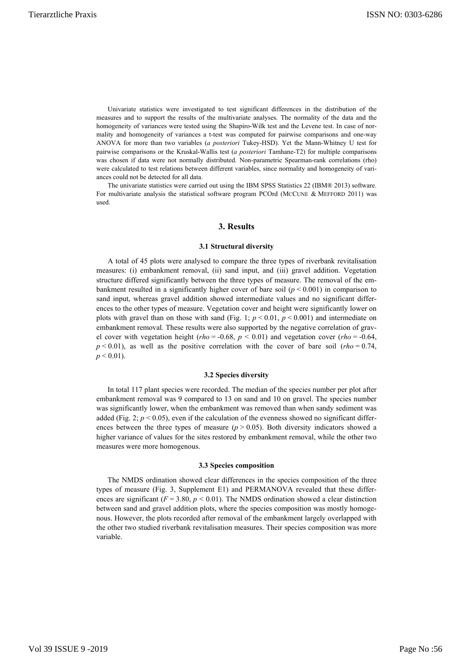Univariate statistics were investigated to test significant differences in the distribution of the measures and to support the results of the multivariate analyses. The normality of the data and the homogeneity of variances were tested using the Shapiro-Wilk test and the Levene test. In case of normality and homogeneity of variances a t-test was computed for pairwise comparisons and one-way ANOVA for more than two variables (*a posteriori* Tukey-HSD). Yet the Mann-Whitney U test for pairwise comparisons or the Kruskal-Wallis test (*a posteriori* Tamhane-T2) for multiple comparisons was chosen if data were not normally distributed. Non-parametric Spearman-rank correlations (rho) were calculated to test relations between different variables, since normality and homogeneity of variances could not be detected for all data.

The univariate statistics were carried out using the IBM SPSS Statistics 22 (IBM® 2013) software. For multivariate analysis the statistical software program PCOrd (MCCUNE & MEFFORD 2011) was used.

# **3. Results**

# **3.1 Structural diversity**

A total of 45 plots were analysed to compare the three types of riverbank revitalisation measures: (i) embankment removal, (ii) sand input, and (iii) gravel addition. Vegetation structure differed significantly between the three types of measure. The removal of the embankment resulted in a significantly higher cover of bare soil  $(p < 0.001)$  in comparison to sand input, whereas gravel addition showed intermediate values and no significant differences to the other types of measure. Vegetation cover and height were significantly lower on plots with gravel than on those with sand (Fig. 1;  $p < 0.01$ ,  $p < 0.001$ ) and intermediate on embankment removal. These results were also supported by the negative correlation of gravel cover with vegetation height (*rho* = -0.68,  $p < 0.01$ ) and vegetation cover (*rho* = -0.64,  $p < 0.01$ ), as well as the positive correlation with the cover of bare soil (*rho* = 0.74,  $p < 0.01$ ).

# **3.2 Species diversity**

In total 117 plant species were recorded. The median of the species number per plot after embankment removal was 9 compared to 13 on sand and 10 on gravel. The species number was significantly lower, when the embankment was removed than when sandy sediment was added (Fig. 2;  $p < 0.05$ ), even if the calculation of the evenness showed no significant differences between the three types of measure  $(p > 0.05)$ . Both diversity indicators showed a higher variance of values for the sites restored by embankment removal, while the other two measures were more homogenous.

### **3.3 Species composition**

The NMDS ordination showed clear differences in the species composition of the three types of measure (Fig. 3, Supplement E1) and PERMANOVA revealed that these differences are significant ( $F = 3.80$ ,  $p < 0.01$ ). The NMDS ordination showed a clear distinction between sand and gravel addition plots, where the species composition was mostly homogenous. However, the plots recorded after removal of the embankment largely overlapped with the other two studied riverbank revitalisation measures. Their species composition was more variable.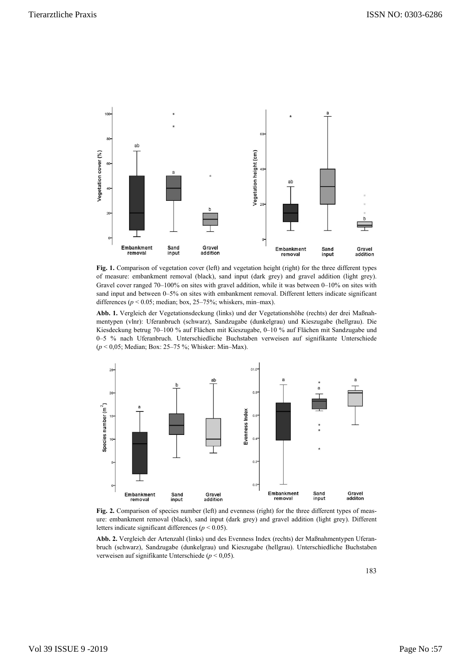

Fig. 1. Comparison of vegetation cover (left) and vegetation height (right) for the three different types of measure: embankment removal (black), sand input (dark grey) and gravel addition (light grey). Gravel cover ranged 70–100% on sites with gravel addition, while it was between 0–10% on sites with sand input and between 0–5% on sites with embankment removal. Different letters indicate significant differences ( $p < 0.05$ ; median; box, 25–75%; whiskers, min–max).

**Abb. 1.** Vergleich der Vegetationsdeckung (links) und der Vegetationshöhe (rechts) der drei Maßnahmentypen (vlnr): Uferanbruch (schwarz), Sandzugabe (dunkelgrau) und Kieszugabe (hellgrau). Die Kiesdeckung betrug 70–100 % auf Flächen mit Kieszugabe, 0–10 % auf Flächen mit Sandzugabe und 0–5 % nach Uferanbruch. Unterschiedliche Buchstaben verweisen auf signifikante Unterschiede (*p* < 0,05; Median; Box: 25–75 %; Whisker: Min–Max).



Fig. 2. Comparison of species number (left) and evenness (right) for the three different types of measure: embankment removal (black), sand input (dark grey) and gravel addition (light grey). Different letters indicate significant differences ( $p < 0.05$ ).

**Abb. 2.** Vergleich der Artenzahl (links) und des Evenness Index (rechts) der Maßnahmentypen Uferanbruch (schwarz), Sandzugabe (dunkelgrau) und Kieszugabe (hellgrau). Unterschiedliche Buchstaben verweisen auf signifikante Unterschiede (*p* < 0,05).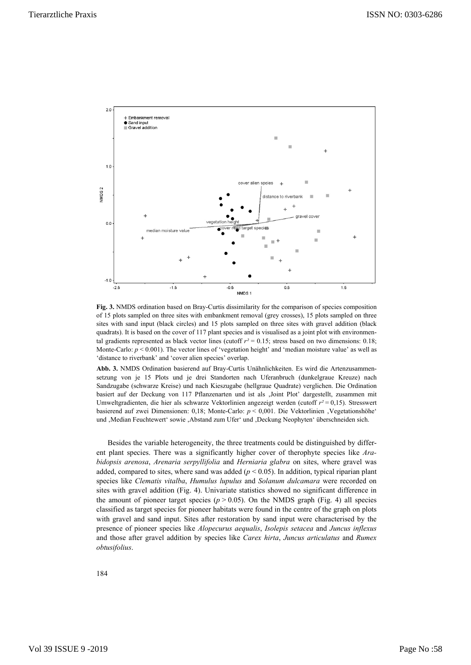

**Fig. 3.** NMDS ordination based on Bray-Curtis dissimilarity for the comparison of species composition of 15 plots sampled on three sites with embankment removal (grey crosses), 15 plots sampled on three sites with sand input (black circles) and 15 plots sampled on three sites with gravel addition (black quadrats). It is based on the cover of 117 plant species and is visualised as a joint plot with environmental gradients represented as black vector lines (cutoff  $r^2 = 0.15$ ; stress based on two dimensions: 0.18; Monte-Carlo:  $p < 0.001$ ). The vector lines of 'vegetation height' and 'median moisture value' as well as 'distance to riverbank' and 'cover alien species' overlap.

**Abb. 3.** NMDS Ordination basierend auf Bray-Curtis Unähnlichkeiten. Es wird die Artenzusammensetzung von je 15 Plots und je drei Standorten nach Uferanbruch (dunkelgraue Kreuze) nach Sandzugabe (schwarze Kreise) und nach Kieszugabe (hellgraue Quadrate) verglichen. Die Ordination basiert auf der Deckung von 117 Pflanzenarten und ist als 'Joint Plot' dargestellt, zusammen mit Umweltgradienten, die hier als schwarze Vektorlinien angezeigt werden (cutoff *r²* = 0,15). Stresswert basierend auf zwei Dimensionen: 0,18; Monte-Carlo:  $p < 0.001$ . Die Vektorlinien 'Vegetationshöhe' und ,Median Feuchtewert' sowie ,Abstand zum Ufer' und ,Deckung Neophyten' überschneiden sich.

Besides the variable heterogeneity, the three treatments could be distinguished by different plant species. There was a significantly higher cover of therophyte species like *Arabidopsis arenosa*, *Arenaria serpyllifolia* and *Herniaria glabra* on sites, where gravel was added, compared to sites, where sand was added  $(p < 0.05)$ . In addition, typical riparian plant species like *Clematis vitalba*, *Humulus lupulus* and *Solanum dulcamara* were recorded on sites with gravel addition (Fig. 4). Univariate statistics showed no significant difference in the amount of pioneer target species ( $p > 0.05$ ). On the NMDS graph (Fig. 4) all species classified as target species for pioneer habitats were found in the centre of the graph on plots with gravel and sand input. Sites after restoration by sand input were characterised by the presence of pioneer species like *Alopecurus aequalis*, *Isolepis setacea* and *Juncus inflexus* and those after gravel addition by species like *Carex hirta*, *Juncus articulatus* and *Rumex obtusifolius*.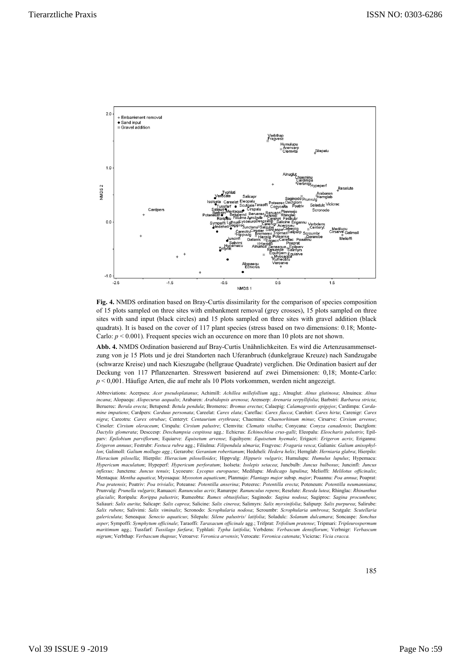

**Fig. 4.** NMDS ordination based on Bray-Curtis dissimilarity for the comparison of species composition of 15 plots sampled on three sites with embankment removal (grey crosses), 15 plots sampled on three sites with sand input (black circles) and 15 plots sampled on three sites with gravel addition (black quadrats). It is based on the cover of 117 plant species (stress based on two dimensions: 0.18; Monte-Carlo:  $p < 0.001$ ). Frequent species wich an occurence on more than 10 plots are not shown.

**Abb. 4.** NMDS Ordination basierend auf Bray-Curtis Unähnlichkeiten. Es wird die Artenzusammensetzung von je 15 Plots und je drei Standorten nach Uferanbruch (dunkelgraue Kreuze) nach Sandzugabe (schwarze Kreise) und nach Kieszugabe (hellgraue Quadrate) verglichen. Die Ordination basiert auf der Deckung von 117 Pflanzenarten. Stresswert basierend auf zwei Dimensionen: 0,18; Monte-Carlo: *p* < 0,001. Häufige Arten, die auf mehr als 10 Plots vorkommen, werden nicht angezeigt.

Abbreviations: Acerpseu: *Acer pseudoplatanus*; Achimill: *Achillea millefollium* agg.; Alnuglut: *Alnus glutinosa*; Alnuinca: *Alnus incana*; Alopaequ: *Alopecurus aequalis*; Arabaren: *Arabidopsis arenosa*; Arenserp: *Arenaria serpyllifolia*; Barbstri: *Barbarea stricta*; Beruerec: *Berula erecta*; Betupend: *Betula pendula*; Bromerec: *Bromus erectus*; Calaepig: *Calamagrostis epigejos*; Cardimpa: *Cardamine impatiens*; Cardpers: *Carduus personata*; Careelat: *Carex elata*; Careflac: *Carex flacca*; Carehirt: *Carex hirta*; Carenigr: *Carex nigra*; Careotru: *Carex otrubae*; Centeryt: *Centaurium erythraea*; Chaeminu: *Chaenorhinum minus*; Cirsarve: *Cirsium arvense*; Cirsoler: *Cirsium oleraceum*; Cirspalu: *Cirsium palustre*; Clemvita: *Clematis vitalba*; Conycana: *Conyza canadensis*; Dactglom: *Dactylis glomerata*; Desccesp: *Deschampsia cespitosa* agg.*;* Echicrus: *Echinochloa crus-galli*; Eleopalu: *Eleocharis palustris*; Epilparv: *Epilobium parviflorum*; Equiarve: *Equisetum arvense*; Equihyem: *Equisetum hyemale*; Erigacri: *Erigeron acris*; Erigannu: *Erigeron annuus*; Festrubr: *Festuca rubra* agg.; Filiulma: *Filipendula ulmaria*; Fragvesc: *Fragaria vesca*; Galianis: *Galium anisophyllon*; Galimoll: *Galium mollugo agg.*; Gerarobe: *Geranium robertianum*; Hedeheli: *Hedera helix*; Hernglab: *Herniaria glabra*; Hierpilo: *Hieracium pilosella*; Hierpilo: *Hieracium piloselloides*; Hippvulg: *Hippuris vulgaris*; Humulupu: *Humulus lupulus*; Hypemacu: *Hypericum maculatum*; Hypeperf: *Hypericum perforatum*; Isolseta: *Isolepis setacea*; Juncbulb: *Juncus bulbosus*; Juncinfl: *Juncus inflexus;* Junctenu: *Juncus tenuis*; Lycoeuro: *Lycopus europaeus*; Medilupu: *Medicago lupulina*; Melioffi: *Melilotus officinalis*; Mentaqua: *Mentha aquatica*; Myosaqua: *Myosoton aquaticum*; Planmajo: *Plantago major* subsp. *major*; Poaannu: *Poa annua*; Poaprat: *Poa pratensis*; Poatriv: *Poa trivialis*; Poteanse: *Potentilla anserina*; Poteerec: *Potentilla erecta*; Poteneum: *Potentilla neumanniana*; Prunvulg: *Prunella vulgaris*; Ranuacri: *Ranunculus acris*; Ranurepe: *Ranunculus repens*; Reselute: *Reseda lutea*; Rhinglac: *Rhinanthus glacialis*; Roripalu: *Rorippa palustris*; Rumeobtu: *Rumex obtusifolius*; Saginodo: *Sagina nodosa*; Sagiproc: *Sagina procumbens*; Saliauri: *Salix aurita*; Salicapr: *Salix caprea*; Salicine: *Salix cinerea*; Salimyrs: *Salix myrsinifolia*; Salipurp: *Salix purpurea*; Salirube: *Salix rubens*; Salivimi: *Salix viminalis*; Scronodo: *Scrophularia nodosa*; Scroumbr: *Scrophularia umbrosa*; Scutgale: *Scutellaria galericulata*; Seneaqua: *Senecio aquaticus*; Silepalu: *Silene palustris/ latifolia*; Soladulc: *Solanum dulcamara*; Soncaspe: *Sonchus asper*; Sympoffi: *Symphytum officinale*; Taraoffi: *Taraxacum officinale* agg*.*; Trifprat: *Trifolium pratense*; Tripmari: *Tripleurospermum maritimum* agg.; Tussfarf: *Tussilago farfara*; Typhlati: *Typha latifolia*; Verbdens: *Verbascum densiflorum*; Verbnigr: *Verbascum nigrum*; Verbthap: *Verbascum thapsus*; Veroarve: *Veronica arvensis*; Verocate: *Veronica catenata*; Vicicrac: *Vicia cracca.*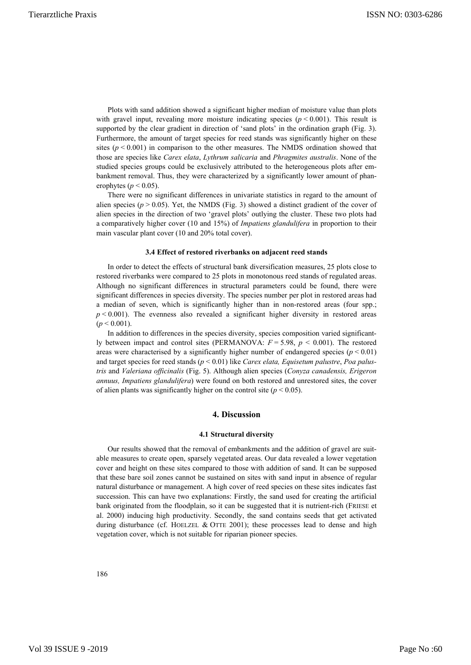Plots with sand addition showed a significant higher median of moisture value than plots with gravel input, revealing more moisture indicating species  $(p < 0.001)$ . This result is supported by the clear gradient in direction of 'sand plots' in the ordination graph (Fig. 3). Furthermore, the amount of target species for reed stands was significantly higher on these sites  $(p < 0.001)$  in comparison to the other measures. The NMDS ordination showed that those are species like *Carex elata*, *Lythrum salicaria* and *Phragmites australis*. None of the studied species groups could be exclusively attributed to the heterogeneous plots after embankment removal. Thus, they were characterized by a significantly lower amount of phanerophytes ( $p < 0.05$ ).

There were no significant differences in univariate statistics in regard to the amount of alien species ( $p > 0.05$ ). Yet, the NMDS (Fig. 3) showed a distinct gradient of the cover of alien species in the direction of two 'gravel plots' outlying the cluster. These two plots had a comparatively higher cover (10 and 15%) of *Impatiens glandulifera* in proportion to their main vascular plant cover (10 and 20% total cover).

#### **3.4 Effect of restored riverbanks on adjacent reed stands**

In order to detect the effects of structural bank diversification measures, 25 plots close to restored riverbanks were compared to 25 plots in monotonous reed stands of regulated areas. Although no significant differences in structural parameters could be found, there were significant differences in species diversity. The species number per plot in restored areas had a median of seven, which is significantly higher than in non-restored areas (four spp.;  $p < 0.001$ ). The evenness also revealed a significant higher diversity in restored areas  $(p < 0.001)$ .

In addition to differences in the species diversity, species composition varied significantly between impact and control sites (PERMANOVA:  $F = 5.98$ ,  $p < 0.001$ ). The restored areas were characterised by a significantly higher number of endangered species ( $p < 0.01$ ) and target species for reed stands (*p* < 0.01) like *Carex elata, Equisetum palustre*, *Poa palustris* and *Valeriana officinalis* (Fig. 5). Although alien species (*Conyza canadensis, Erigeron annuus, Impatiens glandulifera*) were found on both restored and unrestored sites, the cover of alien plants was significantly higher on the control site  $(p < 0.05)$ .

# **4. Discussion**

# **4.1 Structural diversity**

Our results showed that the removal of embankments and the addition of gravel are suitable measures to create open, sparsely vegetated areas. Our data revealed a lower vegetation cover and height on these sites compared to those with addition of sand. It can be supposed that these bare soil zones cannot be sustained on sites with sand input in absence of regular natural disturbance or management. A high cover of reed species on these sites indicates fast succession. This can have two explanations: Firstly, the sand used for creating the artificial bank originated from the floodplain, so it can be suggested that it is nutrient-rich (FRIESE et al. 2000) inducing high productivity. Secondly, the sand contains seeds that get activated during disturbance (cf. HOELZEL  $&$  OTTE 2001); these processes lead to dense and high vegetation cover, which is not suitable for riparian pioneer species.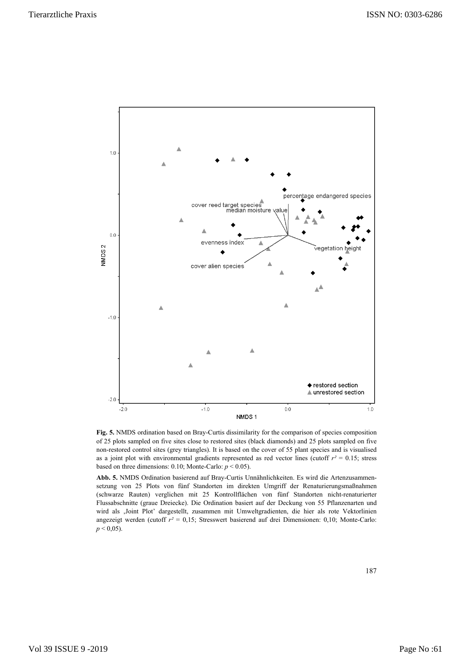

**Fig. 5.** NMDS ordination based on Bray-Curtis dissimilarity for the comparison of species composition of 25 plots sampled on five sites close to restored sites (black diamonds) and 25 plots sampled on five non-restored control sites (grey triangles). It is based on the cover of 55 plant species and is visualised as a joint plot with environmental gradients represented as red vector lines (cutoff  $r^2 = 0.15$ ; stress based on three dimensions: 0.10; Monte-Carlo: *p* < 0.05).

**Abb. 5.** NMDS Ordination basierend auf Bray-Curtis Unnähnlichkeiten. Es wird die Artenzusammensetzung von 25 Plots von fünf Standorten im direkten Umgriff der Renaturierungsmaßnahmen (schwarze Rauten) verglichen mit 25 Kontrollflächen von fünf Standorten nicht-renaturierter Flussabschnitte (graue Dreiecke). Die Ordination basiert auf der Deckung von 55 Pflanzenarten und wird als 'Joint Plot' dargestellt, zusammen mit Umweltgradienten, die hier als rote Vektorlinien angezeigt werden (cutoff *r²* = 0,15; Stresswert basierend auf drei Dimensionen: 0,10; Monte-Carlo:  $p < 0.05$ ).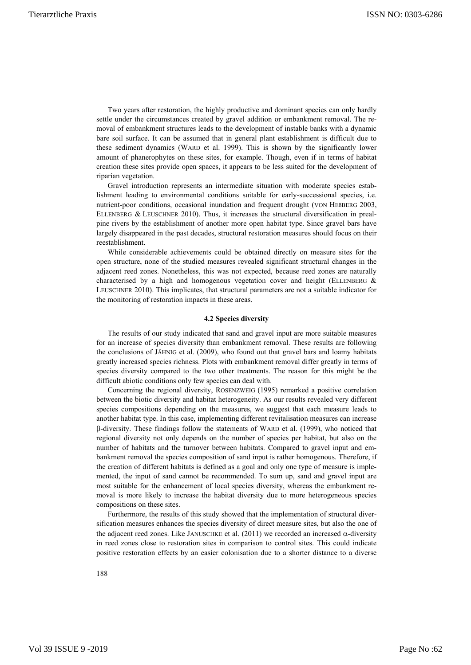Two years after restoration, the highly productive and dominant species can only hardly settle under the circumstances created by gravel addition or embankment removal. The removal of embankment structures leads to the development of instable banks with a dynamic bare soil surface. It can be assumed that in general plant establishment is difficult due to these sediment dynamics (WARD et al. 1999). This is shown by the significantly lower amount of phanerophytes on these sites, for example. Though, even if in terms of habitat creation these sites provide open spaces, it appears to be less suited for the development of riparian vegetation.

Gravel introduction represents an intermediate situation with moderate species establishment leading to environmental conditions suitable for early-successional species, i.e. nutrient-poor conditions, occasional inundation and frequent drought (VON HEßBERG 2003, ELLENBERG & LEUSCHNER 2010). Thus, it increases the structural diversification in prealpine rivers by the establishment of another more open habitat type. Since gravel bars have largely disappeared in the past decades, structural restoration measures should focus on their reestablishment.

While considerable achievements could be obtained directly on measure sites for the open structure, none of the studied measures revealed significant structural changes in the adjacent reed zones. Nonetheless, this was not expected, because reed zones are naturally characterised by a high and homogenous vegetation cover and height (ELLENBERG & LEUSCHNER 2010). This implicates, that structural parameters are not a suitable indicator for the monitoring of restoration impacts in these areas.

### **4.2 Species diversity**

The results of our study indicated that sand and gravel input are more suitable measures for an increase of species diversity than embankment removal. These results are following the conclusions of JÄHNIG et al. (2009), who found out that gravel bars and loamy habitats greatly increased species richness. Plots with embankment removal differ greatly in terms of species diversity compared to the two other treatments. The reason for this might be the difficult abiotic conditions only few species can deal with.

Concerning the regional diversity, ROSENZWEIG (1995) remarked a positive correlation between the biotic diversity and habitat heterogeneity. As our results revealed very different species compositions depending on the measures, we suggest that each measure leads to another habitat type. In this case, implementing different revitalisation measures can increase β-diversity. These findings follow the statements of WARD et al. (1999), who noticed that regional diversity not only depends on the number of species per habitat, but also on the number of habitats and the turnover between habitats. Compared to gravel input and embankment removal the species composition of sand input is rather homogenous. Therefore, if the creation of different habitats is defined as a goal and only one type of measure is implemented, the input of sand cannot be recommended. To sum up, sand and gravel input are most suitable for the enhancement of local species diversity, whereas the embankment removal is more likely to increase the habitat diversity due to more heterogeneous species compositions on these sites.

Furthermore, the results of this study showed that the implementation of structural diversification measures enhances the species diversity of direct measure sites, but also the one of the adjacent reed zones. Like JANUSCHKE et al. (2011) we recorded an increased  $\alpha$ -diversity in reed zones close to restoration sites in comparison to control sites. This could indicate positive restoration effects by an easier colonisation due to a shorter distance to a diverse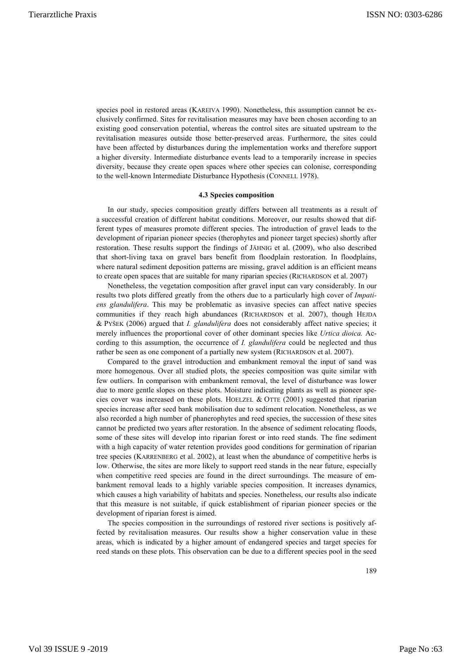species pool in restored areas (KAREIVA 1990). Nonetheless, this assumption cannot be exclusively confirmed. Sites for revitalisation measures may have been chosen according to an existing good conservation potential, whereas the control sites are situated upstream to the revitalisation measures outside those better-preserved areas. Furthermore, the sites could have been affected by disturbances during the implementation works and therefore support a higher diversity. Intermediate disturbance events lead to a temporarily increase in species diversity, because they create open spaces where other species can colonise, corresponding to the well-known Intermediate Disturbance Hypothesis (CONNELL 1978).

# **4.3 Species composition**

In our study, species composition greatly differs between all treatments as a result of a successful creation of different habitat conditions. Moreover, our results showed that different types of measures promote different species. The introduction of gravel leads to the development of riparian pioneer species (therophytes and pioneer target species) shortly after restoration. These results support the findings of JÄHNIG et al. (2009), who also described that short-living taxa on gravel bars benefit from floodplain restoration. In floodplains, where natural sediment deposition patterns are missing, gravel addition is an efficient means to create open spaces that are suitable for many riparian species (RICHARDSON et al. 2007)

Nonetheless, the vegetation composition after gravel input can vary considerably. In our results two plots differed greatly from the others due to a particularly high cover of *Impatiens glandulifera*. This may be problematic as invasive species can affect native species communities if they reach high abundances (RICHARDSON et al. 2007), though HEJDA & PYŠEK (2006) argued that *I. glandulifera* does not considerably affect native species; it merely influences the proportional cover of other dominant species like *Urtica dioica.* According to this assumption, the occurrence of *I. glandulifera* could be neglected and thus rather be seen as one component of a partially new system (RICHARDSON et al. 2007).

Compared to the gravel introduction and embankment removal the input of sand was more homogenous. Over all studied plots, the species composition was quite similar with few outliers. In comparison with embankment removal, the level of disturbance was lower due to more gentle slopes on these plots. Moisture indicating plants as well as pioneer species cover was increased on these plots. HOELZEL  $&$  OTTE (2001) suggested that riparian species increase after seed bank mobilisation due to sediment relocation. Nonetheless, as we also recorded a high number of phanerophytes and reed species, the succession of these sites cannot be predicted two years after restoration. In the absence of sediment relocating floods, some of these sites will develop into riparian forest or into reed stands. The fine sediment with a high capacity of water retention provides good conditions for germination of riparian tree species (KARRENBERG et al. 2002), at least when the abundance of competitive herbs is low. Otherwise, the sites are more likely to support reed stands in the near future, especially when competitive reed species are found in the direct surroundings. The measure of embankment removal leads to a highly variable species composition. It increases dynamics, which causes a high variability of habitats and species. Nonetheless, our results also indicate that this measure is not suitable, if quick establishment of riparian pioneer species or the development of riparian forest is aimed.

The species composition in the surroundings of restored river sections is positively affected by revitalisation measures. Our results show a higher conservation value in these areas, which is indicated by a higher amount of endangered species and target species for reed stands on these plots. This observation can be due to a different species pool in the seed

189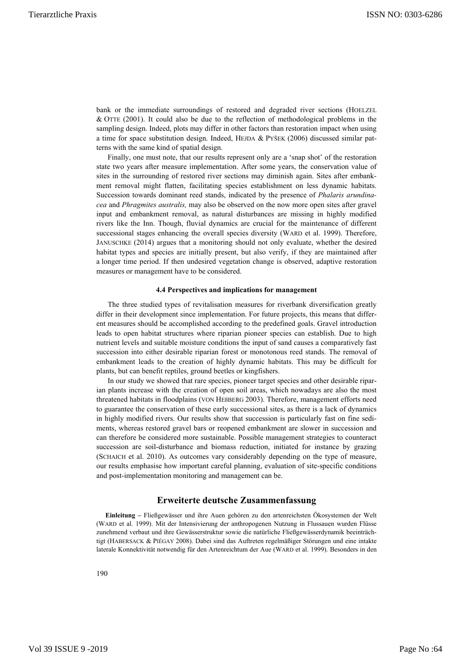bank or the immediate surroundings of restored and degraded river sections (HOELZEL & OTTE (2001). It could also be due to the reflection of methodological problems in the sampling design. Indeed, plots may differ in other factors than restoration impact when using a time for space substitution design. Indeed, HEJDA & PYŠEK (2006) discussed similar patterns with the same kind of spatial design.

Finally, one must note, that our results represent only are a 'snap shot' of the restoration state two years after measure implementation. After some years, the conservation value of sites in the surrounding of restored river sections may diminish again. Sites after embankment removal might flatten, facilitating species establishment on less dynamic habitats. Succession towards dominant reed stands, indicated by the presence of *Phalaris arundinacea* and *Phragmites australis,* may also be observed on the now more open sites after gravel input and embankment removal, as natural disturbances are missing in highly modified rivers like the Inn. Though, fluvial dynamics are crucial for the maintenance of different successional stages enhancing the overall species diversity (WARD et al. 1999). Therefore, JANUSCHKE (2014) argues that a monitoring should not only evaluate, whether the desired habitat types and species are initially present, but also verify, if they are maintained after a longer time period. If then undesired vegetation change is observed, adaptive restoration measures or management have to be considered.

### **4.4 Perspectives and implications for management**

The three studied types of revitalisation measures for riverbank diversification greatly differ in their development since implementation. For future projects, this means that different measures should be accomplished according to the predefined goals. Gravel introduction leads to open habitat structures where riparian pioneer species can establish. Due to high nutrient levels and suitable moisture conditions the input of sand causes a comparatively fast succession into either desirable riparian forest or monotonous reed stands. The removal of embankment leads to the creation of highly dynamic habitats. This may be difficult for plants, but can benefit reptiles, ground beetles or kingfishers.

In our study we showed that rare species, pioneer target species and other desirable riparian plants increase with the creation of open soil areas, which nowadays are also the most threatened habitats in floodplains (VON HEßBERG 2003). Therefore, management efforts need to guarantee the conservation of these early successional sites, as there is a lack of dynamics in highly modified rivers. Our results show that succession is particularly fast on fine sediments, whereas restored gravel bars or reopened embankment are slower in succession and can therefore be considered more sustainable. Possible management strategies to counteract succession are soil-disturbance and biomass reduction, initiated for instance by grazing (SCHAICH et al. 2010). As outcomes vary considerably depending on the type of measure, our results emphasise how important careful planning, evaluation of site-specific conditions and post-implementation monitoring and management can be.

# **Erweiterte deutsche Zusammenfassung**

**Einleitung –** Fließgewässer und ihre Auen gehören zu den artenreichsten Ökosystemen der Welt (WARD et al. 1999). Mit der Intensivierung der anthropogenen Nutzung in Flussauen wurden Flüsse zunehmend verbaut und ihre Gewässerstruktur sowie die natürliche Fließgewässerdynamik beeinträchtigt (HABERSACK & PIÉGAY 2008). Dabei sind das Auftreten regelmäßiger Störungen und eine intakte laterale Konnektivität notwendig für den Artenreichtum der Aue (WARD et al. 1999). Besonders in den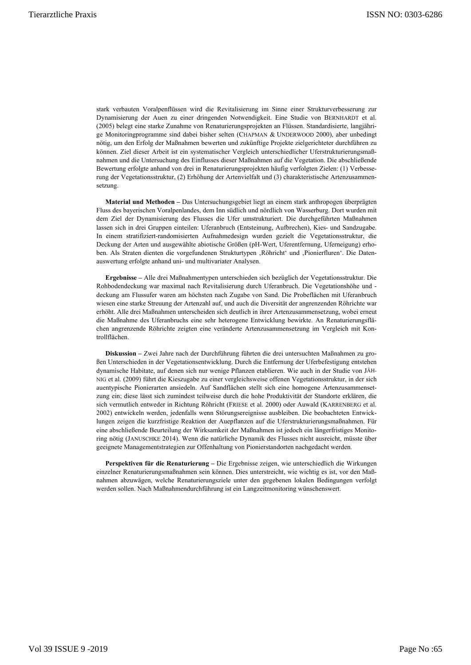stark verbauten Voralpenflüssen wird die Revitalisierung im Sinne einer Strukturverbesserung zur Dynamisierung der Auen zu einer dringenden Notwendigkeit. Eine Studie von BERNHARDT et al. (2005) belegt eine starke Zunahme von Renaturierungsprojekten an Flüssen. Standardisierte, langjährige Monitoringprogramme sind dabei bisher selten (CHAPMAN & UNDERWOOD 2000), aber unbedingt nötig, um den Erfolg der Maßnahmen bewerten und zukünftige Projekte zielgerichteter durchführen zu können. Ziel dieser Arbeit ist ein systematischer Vergleich unterschiedlicher Uferstrukturierungsmaßnahmen und die Untersuchung des Einflusses dieser Maßnahmen auf die Vegetation. Die abschließende Bewertung erfolgte anhand von drei in Renaturierungsprojekten häufig verfolgten Zielen: (1) Verbesserung der Vegetationsstruktur, (2) Erhöhung der Artenvielfalt und (3) charakteristische Artenzusammensetzung.

**Material und Methoden –** Das Untersuchungsgebiet liegt an einem stark anthropogen überprägten Fluss des bayerischen Voralpenlandes, dem Inn südlich und nördlich von Wasserburg. Dort wurden mit dem Ziel der Dynamisierung des Flusses die Ufer umstrukturiert. Die durchgeführten Maßnahmen lassen sich in drei Gruppen einteilen: Uferanbruch (Entsteinung, Aufbrechen), Kies- und Sandzugabe. In einem stratifiziert-randomisierten Aufnahmedesign wurden gezielt die Vegetationsstruktur, die Deckung der Arten und ausgewählte abiotische Größen (pH-Wert, Uferentfernung, Uferneigung) erhoben. Als Straten dienten die vorgefundenen Strukturtypen , Röhricht' und , Pionierfluren'. Die Datenauswertung erfolgte anhand uni- und multivariater Analysen.

**Ergebnisse –** Alle drei Maßnahmentypen unterschieden sich bezüglich der Vegetationsstruktur. Die Rohbodendeckung war maximal nach Revitalisierung durch Uferanbruch. Die Vegetationshöhe und deckung am Flussufer waren am höchsten nach Zugabe von Sand. Die Probeflächen mit Uferanbruch wiesen eine starke Streuung der Artenzahl auf, und auch die Diversität der angrenzenden Röhrichte war erhöht. Alle drei Maßnahmen unterscheiden sich deutlich in ihrer Artenzusammensetzung, wobei erneut die Maßnahme des Uferanbruchs eine sehr heterogene Entwicklung bewirkte. An Renaturierungsflächen angrenzende Röhrichte zeigten eine veränderte Artenzusammensetzung im Vergleich mit Kontrollflächen.

**Diskussion –** Zwei Jahre nach der Durchführung führten die drei untersuchten Maßnahmen zu großen Unterschieden in der Vegetationsentwicklung. Durch die Entfernung der Uferbefestigung entstehen dynamische Habitate, auf denen sich nur wenige Pflanzen etablieren. Wie auch in der Studie von JÄH-NIG et al. (2009) führt die Kieszugabe zu einer vergleichsweise offenen Vegetationsstruktur, in der sich auentypische Pionierarten ansiedeln. Auf Sandflächen stellt sich eine homogene Artenzusammensetzung ein; diese lässt sich zumindest teilweise durch die hohe Produktivität der Standorte erklären, die sich vermutlich entweder in Richtung Röhricht (FRIESE et al. 2000) oder Auwald (KARRENBERG et al. 2002) entwickeln werden, jedenfalls wenn Störungsereignisse ausbleiben. Die beobachteten Entwicklungen zeigen die kurzfristige Reaktion der Auepflanzen auf die Uferstrukturierungsmaßnahmen. Für eine abschließende Beurteilung der Wirksamkeit der Maßnahmen ist jedoch ein längerfristiges Monitoring nötig (JANUSCHKE 2014). Wenn die natürliche Dynamik des Flusses nicht ausreicht, müsste über geeignete Managementstrategien zur Offenhaltung von Pionierstandorten nachgedacht werden.

**Perspektiven für die Renaturierung –** Die Ergebnisse zeigen, wie unterschiedlich die Wirkungen einzelner Renaturierungsmaßnahmen sein können. Dies unterstreicht, wie wichtig es ist, vor den Maßnahmen abzuwägen, welche Renaturierungsziele unter den gegebenen lokalen Bedingungen verfolgt werden sollen. Nach Maßnahmendurchführung ist ein Langzeitmonitoring wünschenswert.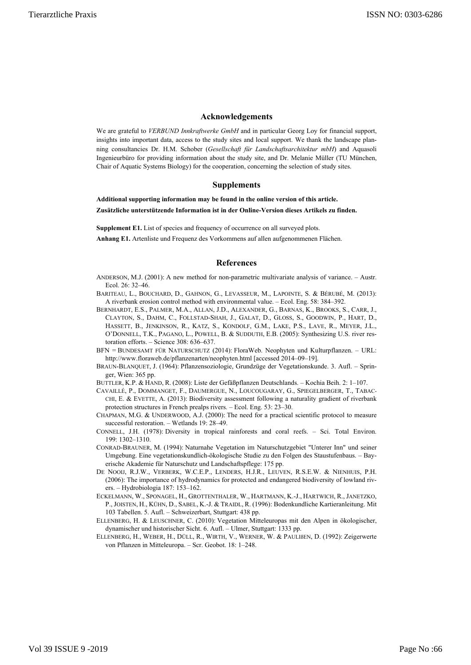# **Acknowledgements**

We are grateful to *VERBUND Innkraftwerke GmbH* and in particular Georg Loy for financial support, insights into important data, access to the study sites and local support. We thank the landscape planning consultancies Dr. H.M. Schober (*Gesellschaft für Landschaftsarchitektur mbH*) and Aquasoli Ingenieurbüro for providing information about the study site, and Dr. Melanie Müller (TU München, Chair of Aquatic Systems Biology) for the cooperation, concerning the selection of study sites.

# **Supplements**

**Additional supporting information may be found in the online version of this article.**

**Zusätzliche unterstützende Information ist in der Online-Version dieses Artikels zu finden.**

**Supplement E1.** List of species and frequency of occurrence on all surveyed plots.

**Anhang E1.** Artenliste und Frequenz des Vorkommens auf allen aufgenommenen Flächen.

### **References**

- ANDERSON, M.J. (2001): A new method for non-parametric multivariate analysis of variance. Austr. Ecol. 26: 32–46.
- BARITEAU, L., BOUCHARD, D., GAHNON, G., LEVASSEUR, M., LAPOINTE, S. & BÉRUBÉ, M. (2013): A riverbank erosion control method with environmental value. – Ecol. Eng. 58: 384–392.
- BERNHARDT, E.S., PALMER, M.A., ALLAN, J.D., ALEXANDER, G., BARNAS, K., BROOKS, S., CARR, J., CLAYTON, S., DAHM, C., FOLLSTAD-SHAH, J., GALAT, D., GLOSS, S., GOODWIN, P., HART, D., HASSETT, B., JENKINSON, R., KATZ, S., KONDOLF, G.M., LAKE, P.S., LAVE, R., MEYER, J.L., O'DONNELL, T.K., PAGANO, L., POWELL, B. & SUDDUTH, E.B. (2005): Synthesizing U.S. river restoration efforts. – Science 308: 636–637.
- BFN = BUNDESAMT FÜR NATURSCHUTZ (2014): FloraWeb. Neophyten und Kulturpflanzen. URL: http://www.floraweb.de/pflanzenarten/neophyten.html [accessed 2014–09–19].
- BRAUN-BLANQUET, J. (1964): Pflanzensoziologie, Grundzüge der Vegetationskunde. 3. Aufl. Springer, Wien: 365 pp.
- BUTTLER, K.P. & HAND, R. (2008): Liste der Gefäßpflanzen Deutschlands. Kochia Beih. 2: 1–107.
- CAVAILLÉ, P., DOMMANGET, F., DAUMERGUE, N., LOUCOUGARAY, G., SPIEGELBERGER, T., TABAC-CHI, E. & EVETTE, A. (2013): Biodiversity assessment following a naturality gradient of riverbank protection structures in French prealps rivers. – Ecol. Eng. 53: 23–30.
- CHAPMAN, M.G. & UNDERWOOD, A.J. (2000): The need for a practical scientific protocol to measure successful restoration. – Wetlands 19: 28–49.
- CONNELL, J.H. (1978): Diversity in tropical rainforests and coral reefs. Sci. Total Environ. 199: 1302–1310.
- CONRAD-BRAUNER, M. (1994): Naturnahe Vegetation im Naturschutzgebiet "Unterer Inn" und seiner Umgebung. Eine vegetationskundlich-ökologische Studie zu den Folgen des Staustufenbaus. – Bayerische Akademie für Naturschutz und Landschaftspflege: 175 pp.
- DE NOOIJ, R.J.W., VERBERK, W.C.E.P., LENDERS, H.J.R., LEUVEN, R.S.E.W. & NIENHUIS, P.H. (2006): The importance of hydrodynamics for protected and endangered biodiversity of lowland rivers. – Hydrobiologia 187: 153–162.
- ECKELMANN, W., SPONAGEL, H., GROTTENTHALER, W., HARTMANN, K.-J., HARTWICH, R., JANETZKO, P., JOISTEN, H., KÜHN, D., SABEL, K.-J. & TRAIDL, R. (1996): Bodenkundliche Kartieranleitung. Mit 103 Tabellen. 5. Aufl. – Schweizerbart, Stuttgart: 438 pp.
- ELLENBERG, H. & LEUSCHNER, C. (2010): Vegetation Mitteleuropas mit den Alpen in ökologischer, dynamischer und historischer Sicht. 6. Aufl. – Ulmer, Stuttgart: 1333 pp.
- ELLENBERG, H., WEBER, H., DÜLL, R., WIRTH, V., WERNER, W. & PAULIßEN, D. (1992): Zeigerwerte von Pflanzen in Mitteleuropa. – Scr. Geobot. 18: 1–248.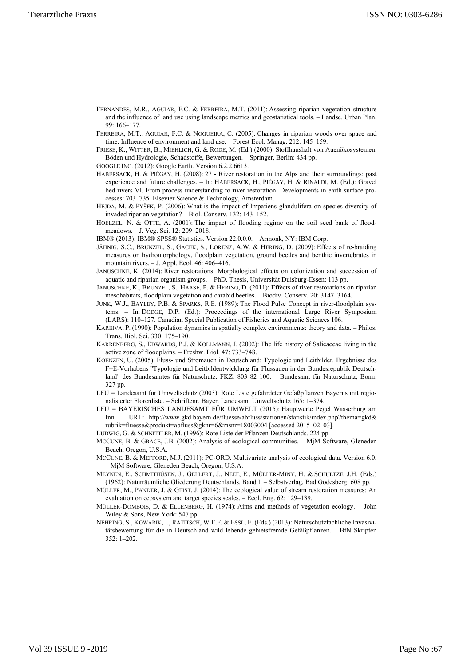- FERNANDES, M.R., AGUIAR, F.C. & FERREIRA, M.T. (2011): Assessing riparian vegetation structure and the influence of land use using landscape metrics and geostatistical tools. – Landsc. Urban Plan. 99: 166–177.
- FERREIRA, M.T., AGUIAR, F.C. & NOGUEIRA, C. (2005): Changes in riparian woods over space and time: Influence of environment and land use. – Forest Ecol. Manag. 212: 145–159.
- FRIESE, K., WITTER, B., MIEHLICH, G. & RODE, M. (Ed.) (2000): Stoffhaushalt von Auenökosystemen. Böden und Hydrologie, Schadstoffe, Bewertungen. – Springer, Berlin: 434 pp.
- GOOGLE INC. (2012): Google Earth. Version 6.2.2.6613.
- HABERSACK, H. & PIÉGAY, H. (2008): 27 River restoration in the Alps and their surroundings: past experience and future challenges. – In: HABERSACK, H., PIÉGAY, H. & RINALDI, M. (Ed.): Gravel bed rivers VI. From process understanding to river restoration. Developments in earth surface processes: 703–735. Elsevier Science & Technology, Amsterdam.
- HEJDA, M. & PYŠEK, P. (2006): What is the impact of Impatiens glandulifera on species diversity of invaded riparian vegetation? – Biol. Conserv. 132: 143–152.
- HOELZEL, N. & OTTE, A. (2001): The impact of flooding regime on the soil seed bank of floodmeadows. – J. Veg. Sci. 12: 209–2018.
- IBM® (2013): IBM® SPSS® Statistics. Version 22.0.0.0. Armonk, NY: IBM Corp.
- JÄHNIG, S.C., BRUNZEL, S., GACEK, S., LORENZ, A.W. & HERING, D. (2009): Effects of re-braiding measures on hydromorphology, floodplain vegetation, ground beetles and benthic invertebrates in mountain rivers. – J. Appl. Ecol. 46: 406–416.
- JANUSCHKE, K. (2014): River restorations. Morphological effects on colonization and succession of aquatic and riparian organism groups. – PhD. Thesis, Universität Duisburg-Essen: 113 pp.
- JANUSCHKE, K., BRUNZEL, S., HAASE, P. & HERING, D. (2011): Effects of river restorations on riparian mesohabitats, floodplain vegetation and carabid beetles. – Biodiv. Conserv. 20: 3147–3164.
- JUNK, W.J., BAYLEY, P.B. & SPARKS, R.E. (1989): The Flood Pulse Concept in river-floodplain systems. – In: DODGE, D.P. (Ed.): Proceedings of the international Large River Symposium (LARS): 110–127. Canadian Special Publication of Fisheries and Aquatic Sciences 106.
- KAREIVA, P. (1990): Population dynamics in spatially complex environments: theory and data. Philos. Trans. Biol. Sci. 330: 175–190.
- KARRENBERG, S., EDWARDS, P.J. & KOLLMANN, J. (2002): The life history of Salicaceae living in the active zone of floodplains. – Freshw. Biol. 47: 733–748.
- KOENZEN, U. (2005): Fluss- und Stromauen in Deutschland: Typologie und Leitbilder. Ergebnisse des F+E-Vorhabens "Typologie und Leitbildentwicklung für Flussauen in der Bundesrepublik Deutschland" des Bundesamtes für Naturschutz: FKZ: 803 82 100. – Bundesamt für Naturschutz, Bonn: 327 pp.
- LFU = Landesamt für Umweltschutz (2003): Rote Liste gefährdeter Gefäßpflanzen Bayerns mit regionalisierter Florenliste. – Schriftenr. Bayer. Landesamt Umweltschutz 165: 1–374.
- LFU = BAYERISCHES LANDESAMT FÜR UMWELT (2015): Hauptwerte Pegel Wasserburg am Inn. – URL: http://www.gkd.bayern.de/fluesse/abfluss/stationen/statistik/index.php?thema=gkd& rubrik=fluesse&produkt=abfluss&gknr=6&msnr=18003004 [accessed 2015–02–03].
- LUDWIG, G. & SCHNITTLER, M. (1996): Rote Liste der Pflanzen Deutschlands. 224 pp.
- MCCUNE, B. & GRACE, J.B. (2002): Analysis of ecological communities. MjM Software, Gleneden Beach, Oregon, U.S.A.
- MCCUNE, B. & MEFFORD, M.J. (2011): PC-ORD. Multivariate analysis of ecological data. Version 6.0. – MjM Software, Gleneden Beach, Oregon, U.S.A.
- MEYNEN, E., SCHMITHÜSEN, J., GELLERT, J., NEEF, E., MÜLLER-MINY, H. & SCHULTZE, J.H. (Eds.) (1962): Naturräumliche Gliederung Deutschlands. Band I. – Selbstverlag, Bad Godesberg: 608 pp.
- MÜLLER, M., PANDER, J. & GEIST, J. (2014): The ecological value of stream restoration measures: An evaluation on ecosystem and target species scales. – Ecol. Eng. 62: 129–139.
- MÜLLER-DOMBOIS, D. & ELLENBERG, H. (1974): Aims and methods of vegetation ecology. John Wiley & Sons, New York: 547 pp.
- NEHRING, S., KOWARIK, I., RATITSCH, W.E.F. & ESSL, F. (Eds.) (2013): Naturschutzfachliche Invasivitätsbewertung für die in Deutschland wild lebende gebietsfremde Gefäßpflanzen. – BfN Skripten 352: 1–202.